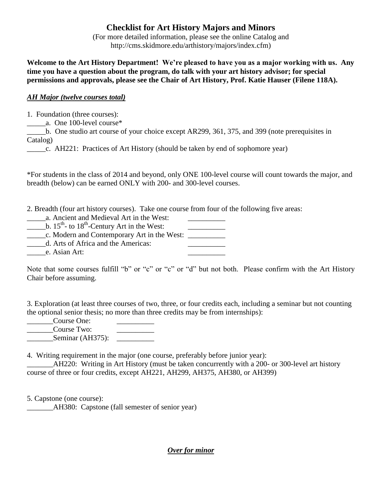## **Checklist for Art History Majors and Minors**

(For more detailed information, please see the online Catalog and http://cms.skidmore.edu/arthistory/majors/index.cfm)

**Welcome to the Art History Department! We're pleased to have you as a major working with us. Any time you have a question about the program, do talk with your art history advisor; for special permissions and approvals, please see the Chair of Art History, Prof. Katie Hauser (Filene 118A).** 

## *AH Major (twelve courses total)*

1. Foundation (three courses):

\_\_\_\_\_a. One 100-level course\*

b. One studio art course of your choice except AR299, 361, 375, and 399 (note prerequisites in Catalog)

\_\_\_\_\_c. AH221: Practices of Art History (should be taken by end of sophomore year)

\*For students in the class of 2014 and beyond, only ONE 100-level course will count towards the major, and breadth (below) can be earned ONLY with 200- and 300-level courses.

2. Breadth (four art history courses). Take one course from four of the following five areas:

\_\_\_\_\_a. Ancient and Medieval Art in the West: \_\_\_\_\_\_\_\_\_\_

 $\underline{\hspace{1cm}}$  b. 15<sup>th</sup>- to 18<sup>th</sup>-Century Art in the West:

\_\_\_\_\_c. Modern and Contemporary Art in the West: \_\_\_\_\_\_\_\_\_\_

\_\_\_\_\_d. Arts of Africa and the Americas: \_\_\_\_\_\_\_\_\_\_

e. Asian Art:

Note that some courses fulfill "b" or "c" or "c" or "d" but not both. Please confirm with the Art History Chair before assuming.

3. Exploration (at least three courses of two, three, or four credits each, including a seminar but not counting the optional senior thesis; no more than three credits may be from internships):

\_\_\_\_\_\_\_Course One: \_\_\_\_\_\_\_\_\_\_ \_\_\_\_\_\_\_Course Two: \_\_\_\_\_\_\_\_\_\_  $Seminar (AH375):$ 

4. Writing requirement in the major (one course, preferably before junior year):

AH220: Writing in Art History (must be taken concurrently with a 200- or 300-level art history course of three or four credits, except AH221, AH299, AH375, AH380, or AH399)

5. Capstone (one course):

AH380: Capstone (fall semester of senior year)

*Over for minor*